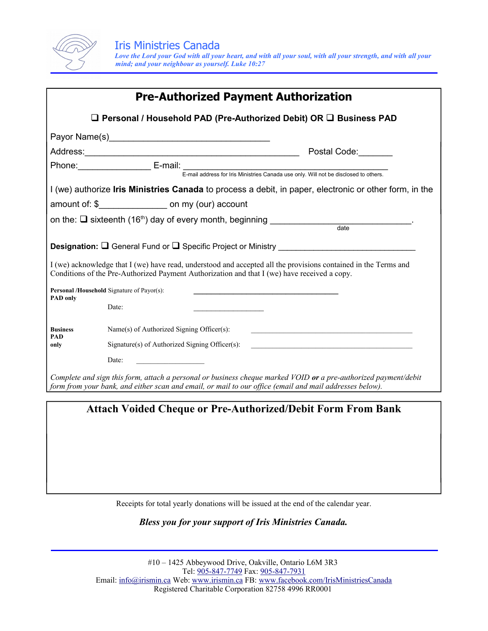

| <b>Pre-Authorized Payment Authorization</b>                                                                                                                                                                                |                                                                                                                                                                        |
|----------------------------------------------------------------------------------------------------------------------------------------------------------------------------------------------------------------------------|------------------------------------------------------------------------------------------------------------------------------------------------------------------------|
| $\square$ Personal / Household PAD (Pre-Authorized Debit) OR $\square$ Business PAD                                                                                                                                        |                                                                                                                                                                        |
|                                                                                                                                                                                                                            | Payor Name(s) Manual Communication of Payor Name (s)                                                                                                                   |
|                                                                                                                                                                                                                            | Postal Code:                                                                                                                                                           |
|                                                                                                                                                                                                                            |                                                                                                                                                                        |
|                                                                                                                                                                                                                            |                                                                                                                                                                        |
| I (we) authorize Iris Ministries Canada to process a debit, in paper, electronic or other form, in the                                                                                                                     |                                                                                                                                                                        |
|                                                                                                                                                                                                                            | amount of: \$____________________ on my (our) account                                                                                                                  |
|                                                                                                                                                                                                                            |                                                                                                                                                                        |
|                                                                                                                                                                                                                            |                                                                                                                                                                        |
| <b>Designation:</b> $\Box$ General Fund or $\Box$ Specific Project or Ministry                                                                                                                                             |                                                                                                                                                                        |
| I (we) acknowledge that I (we) have read, understood and accepted all the provisions contained in the Terms and<br>Conditions of the Pre-Authorized Payment Authorization and that I (we) have received a copy.            |                                                                                                                                                                        |
| Personal /Household Signature of Payor(s):                                                                                                                                                                                 |                                                                                                                                                                        |
| <b>PAD only</b>                                                                                                                                                                                                            | Date:                                                                                                                                                                  |
| <b>Business</b><br><b>PAD</b><br>only                                                                                                                                                                                      | Name(s) of Authorized Signing Officer(s):<br><u> 1989 - Johann Stein, mars an deutscher Stein und der Stein und der Stein und der Stein und der Stein und der</u>      |
|                                                                                                                                                                                                                            | Signature(s) of Authorized Signing Officer(s):<br><u> 1989 - Johann Barbara, martin amerikan basal dan berasal dan berasal dalam basal dan berasal dan berasal dan</u> |
|                                                                                                                                                                                                                            | Date:                                                                                                                                                                  |
| Complete and sign this form, attach a personal or business cheque marked VOID or a pre-authorized payment/debit<br>form from your bank, and either scan and email, or mail to our office (email and mail addresses below). |                                                                                                                                                                        |
|                                                                                                                                                                                                                            |                                                                                                                                                                        |

**Attach Voided Cheque or Pre-Authorized/Debit Form From Bank**

Receipts for total yearly donations will be issued at the end of the calendar year.

*Bless you for your support of Iris Ministries Canada.*